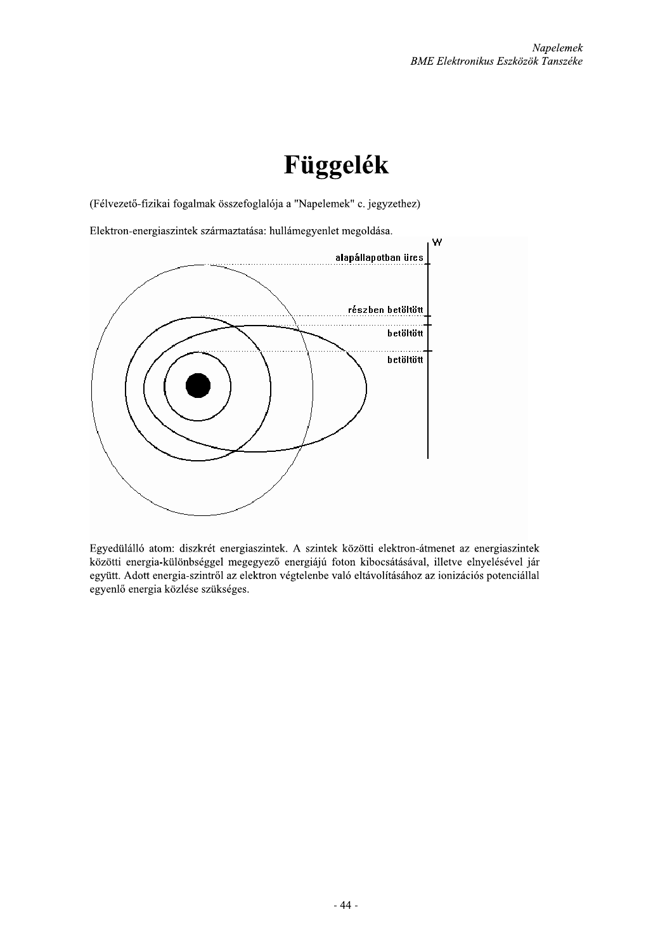## Függelék

(Félvezető-fizikai fogalmak összefoglalója a "Napelemek" c. jegyzethez)



Egyedülálló atom: diszkrét energiaszintek. A szintek közötti elektron-átmenet az energiaszintek közötti energia-különbséggel megegyező energiájú foton kibocsátásával, illetve elnyelésével jár együtt. Adott energia-szintről az elektron végtelenbe való eltávolításához az ionizációs potenciállal egyenlő energia közlése szükséges.

 $-44-$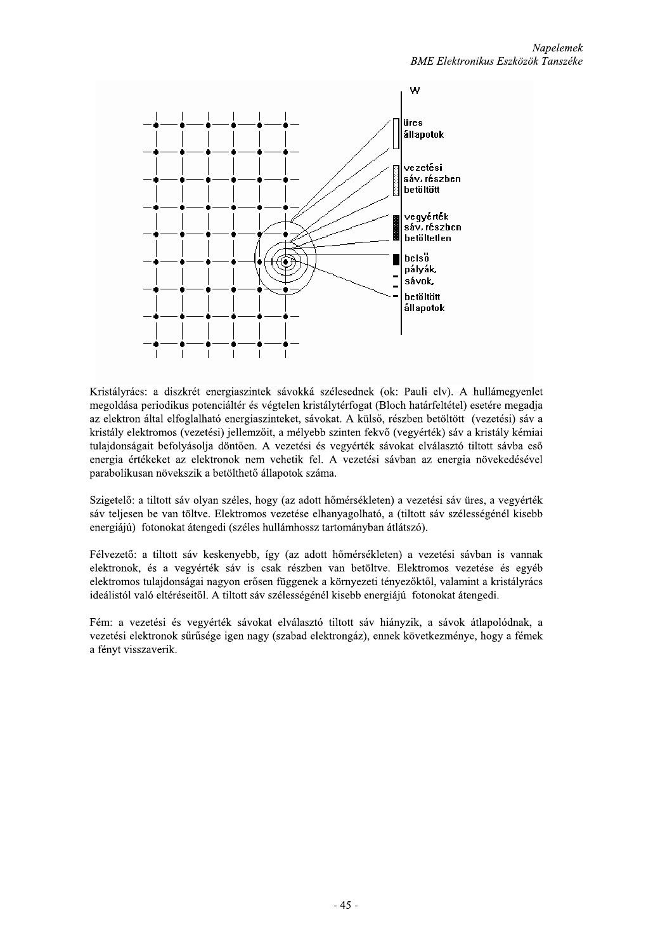

Kristályrács: a diszkrét energiaszintek sávokká szélesednek (ok: Pauli elv). A hullámegyenlet megoldása periodikus potenciáltér és végtelen kristálytérfogat (Bloch határfeltétel) esetére megadja az elektron által elfoglalható energiaszinteket, sávokat. A külső, részben betöltött (vezetési) sáv a kristály elektromos (vezetési) jellemzőit, a mélyebb szinten fekvő (vegyérték) sáv a kristály kémiai tulajdonságait befolyásolja döntően. A vezetési és vegyérték sávokat elválasztó tiltott sávba eső energia értékeket az elektronok nem vehetik fel. A vezetési sávban az energia növekedésével parabolikusan növekszik a betölthető állapotok száma.

Szigetelő: a tiltott sáv olyan széles, hogy (az adott hőmérsékleten) a vezetési sáv üres, a vegyérték sáv teljesen be van töltve. Elektromos vezetése elhanyagolható, a (tiltott sáv szélességénél kisebb energiájú) fotonokat átengedi (széles hullámhossz tartományban átlátszó).

Félvezető: a tiltott sáv keskenyebb, így (az adott hőmérsékleten) a vezetési sávban is vannak elektronok, és a vegyérték sáv is csak részben van betöltve. Elektromos vezetése és egyéb elektromos tulajdonságai nagyon erősen függenek a környezeti tényezőktől, valamint a kristályrács ideálistól való eltéréseitől. A tiltott sáv szélességénél kisebb energiájú fotonokat átengedi.

Fém: a vezetési és vegyérték sávokat elválasztó tiltott sáv hiányzik, a sávok átlapolódnak, a vezetési elektronok sűrűsége igen nagy (szabad elektrongáz), ennek következménye, hogy a fémek a fényt visszaverik.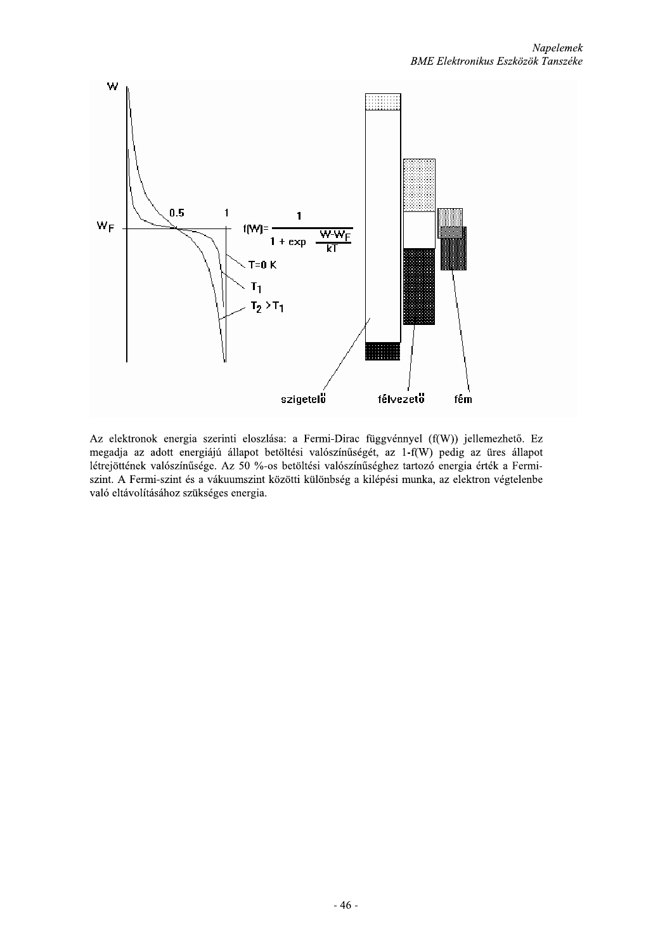

Az elektronok energia szerinti eloszlása: a Fermi-Dirac függvénnyel (f(W)) jellemezhető. Ez megadja az adott energiájú állapot betöltési valószínűségét, az 1-f(W) pedig az üres állapot létrejöttének valószínűsége. Az 50 %-os betöltési valószínűséghez tartozó energia érték a Fermiszint. A Fermi-szint és a vákuumszint közötti különbség a kilépési munka, az elektron végtelenbe való eltávolításához szükséges energia.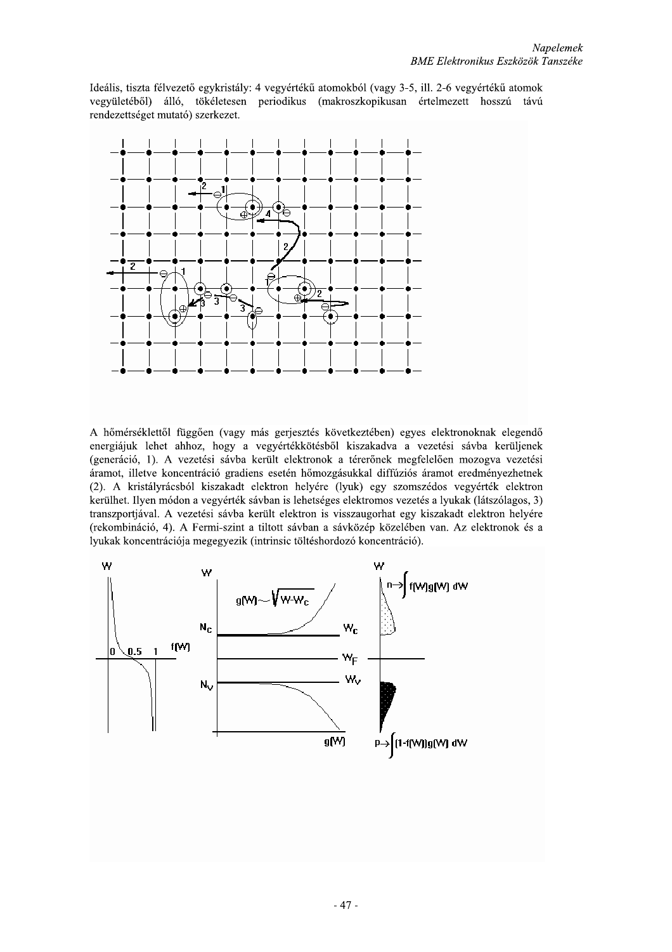Ideális, tiszta félvezető egykristály: 4 vegyértékű atomokból (vagy 3-5, ill. 2-6 vegyértékű atomok vegyületéből) álló, tökéletesen periodikus (makroszkopikusan értelmezett hosszú távú rendezettséget mutató) szerkezet.



A hőmérséklettől függően (vagy más gerjesztés következtében) egyes elektronoknak elegendő energiájuk lehet ahhoz, hogy a vegyértékkötésből kiszakadva a vezetési sávba kerüljenek (generáció, 1). A vezetési sávba került elektronok a térerőnek megfelelően mozogya vezetési áramot, illetve koncentráció gradiens esetén hőmozgásukkal diffúziós áramot eredményezhetnek (2). A kristályrácsból kiszakadt elektron helyére (lyuk) egy szomszédos vegyérték elektron kerülhet. Ilyen módon a vegyérték sávban is lehetséges elektromos vezetés a lyukak (látszólagos, 3) transzportjával. A vezetési sávba került elektron is visszaugorhat egy kiszakadt elektron helyére (rekombináció, 4). A Fermi-szint a tiltott sávban a sávközép közelében van. Az elektronok és a lyukak koncentrációja megegyezik (intrinsic töltéshordozó koncentráció).

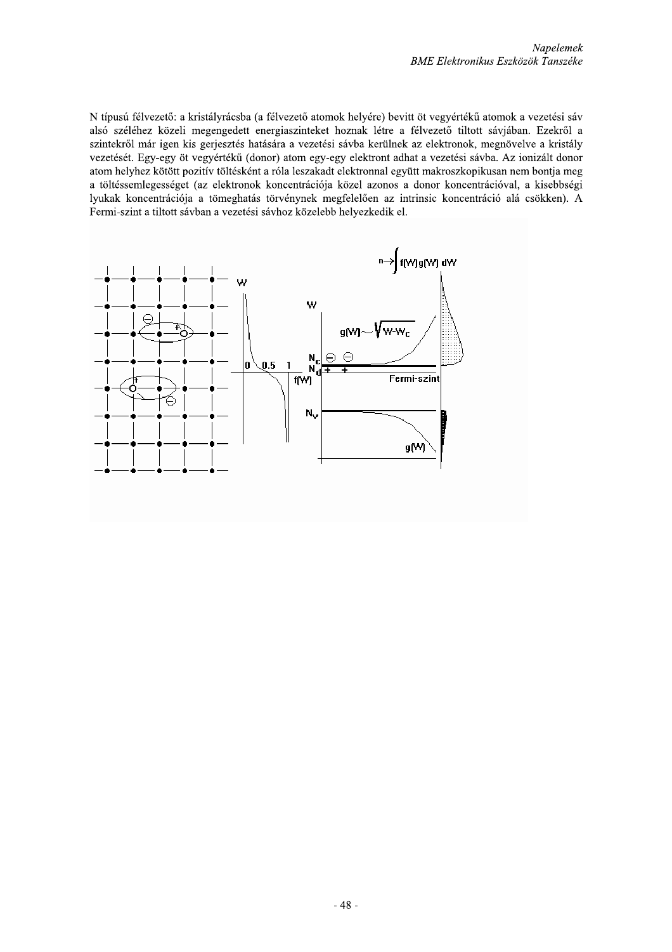N típusú félvezető: a kristályrácsba (a félvezető atomok helyére) bevitt öt vegyértékű atomok a vezetési sáv alsó széléhez közeli megengedett energiaszinteket hoznak létre a félvezető tiltott sávjában. Ezekről a szintekről már igen kis gerjesztés hatására a vezetési sávba kerülnek az elektronok, megnövelve a kristály vezetését. Egy-egy öt vegyértékű (donor) atom egy-egy elektront adhat a vezetési sávba. Az ionizált donor atom helyhez kötött pozitív töltésként a róla leszakadt elektronnal együtt makroszkopikusan nem bontja meg a töltéssemlegességet (az elektronok koncentrációja közel azonos a donor koncentrációval, a kisebbségi lyukak koncentrációja a tömeghatás törvénynek megfelelően az intrinsic koncentráció alá csökken). A Fermi-szint a tiltott sávban a vezetési sávhoz közelebb helyezkedik el.

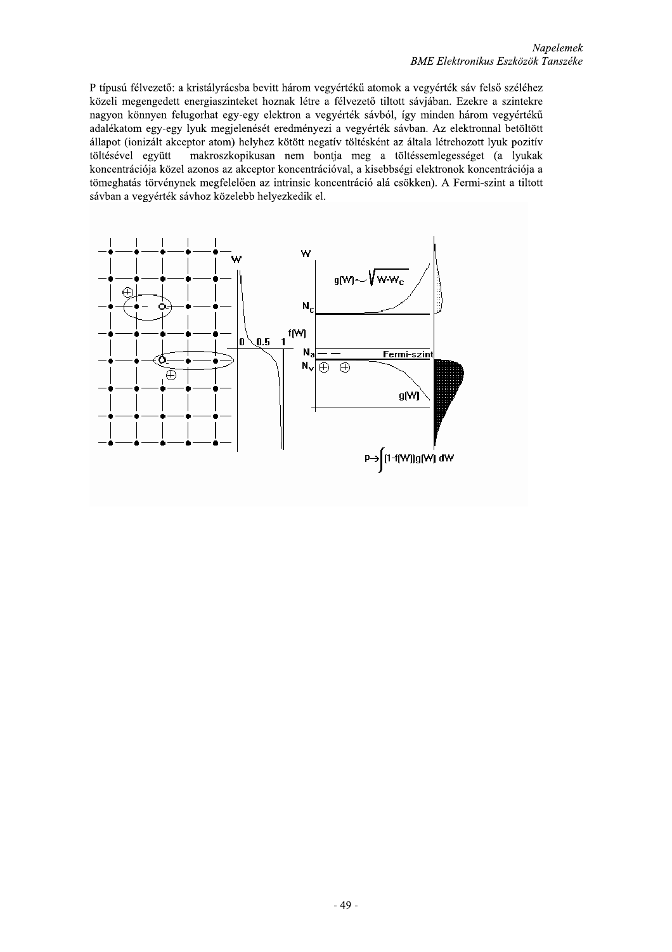P típusú félvezető: a kristályrácsba bevitt három vegyértékű atomok a vegyérték sáv felső széléhez közeli megengedett energiaszinteket hoznak létre a félvezető tiltott sávjában. Ezekre a szintekre nagyon könnyen felugorhat egy-egy elektron a vegyérték sávból, így minden három vegyértékű adalékatom egy-egy lyuk megjelenését eredményezi a vegyérték sávban. Az elektronnal betöltött állapot (ionizált akceptor atom) helyhez kötött negatív töltésként az általa létrehozott lyuk pozitív töltésével együtt makroszkopikusan nem bontja meg a töltéssemlegességet (a lyukak koncentrációja közel azonos az akceptor koncentrációval, a kisebbségi elektronok koncentrációja a tömeghatás törvénynek megfelelően az intrinsic koncentráció alá csökken). A Fermi-szint a tiltott sávban a vegyérték sávhoz közelebb helyezkedik el.

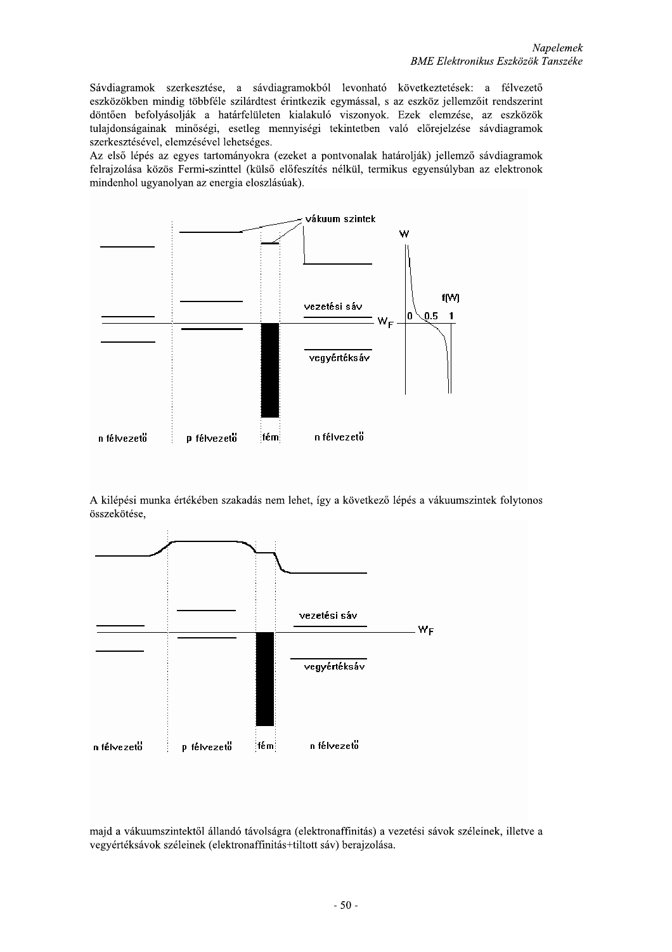Sávdiagramok szerkesztése, a sávdiagramokból levonható következtetések: a félvezető eszközökben mindig többféle szilárdtest érintkezik egymással, s az eszköz jellemzőit rendszerint döntően befolyásolják a határfelületen kialakuló viszonyok. Ezek elemzése, az eszközök tulajdonságainak minőségi, esetleg mennyiségi tekintetben való előrejelzése sávdiagramok szerkesztésével, elemzésével lehetséges.

Az első lépés az egyes tartományokra (ezeket a pontvonalak határolják) jellemző sávdiagramok felrajzolása közös Fermi-szinttel (külső előfeszítés nélkül, termikus egyensúlyban az elektronok mindenhol ugyanolyan az energia eloszlásúak).



A kilépési munka értékében szakadás nem lehet, így a következő lépés a vákuumszintek folytonos összekötése,



majd a vákuumszintektől állandó távolságra (elektronaffinitás) a vezetési sávok széleinek, illetve a vegyértéksávok széleinek (elektronaffinitás+tiltott sáv) berajzolása.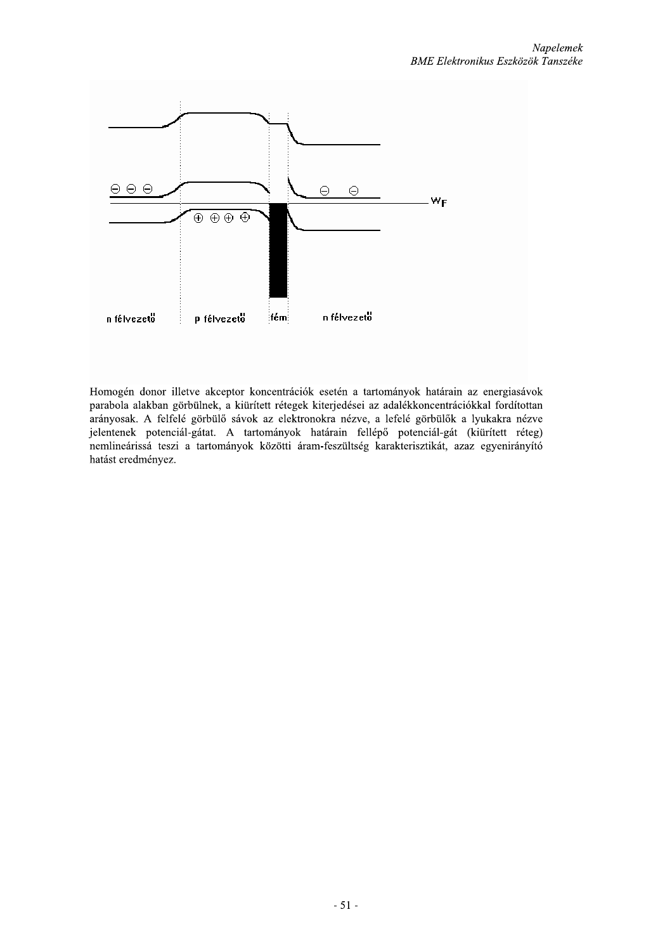

Homogén donor illetve akceptor koncentrációk esetén a tartományok határain az energiasávok parabola alakban görbülnek, a kiürített rétegek kiterjedései az adalékkoncentrációkkal fordítottan arányosak. A felfelé görbülő sávok az elektronokra nézve, a lefelé görbülők a lyukakra nézve jelentenek potenciál-gátat. A tartományok határain fellépő potenciál-gát (kiürített réteg) nemlineárissá teszi a tartományok közötti áram-feszültség karakterisztikát, azaz egyenirányító hatást eredményez.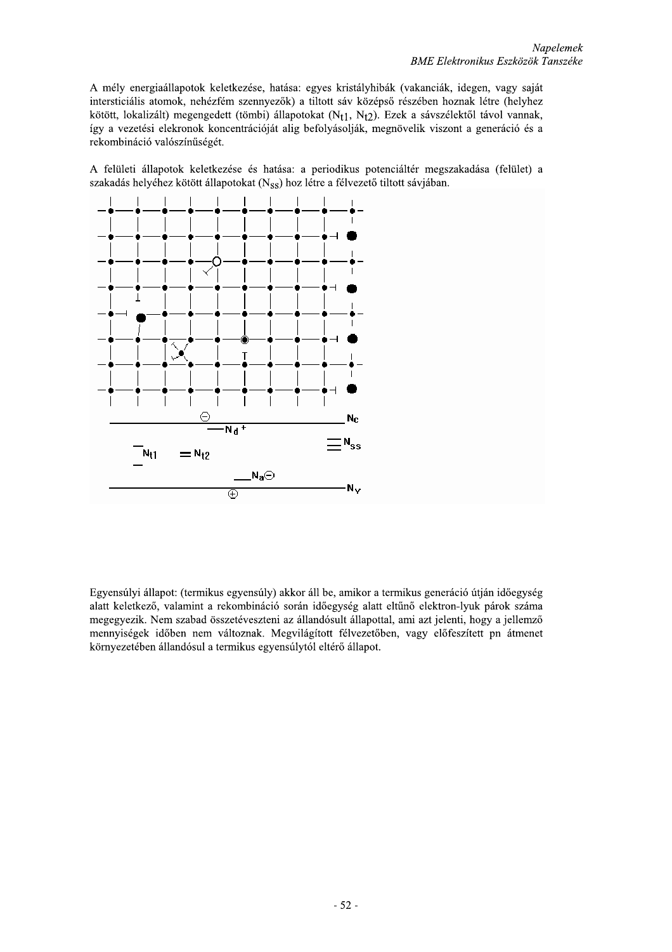A mély energiaállapotok keletkezése, hatása: egyes kristályhibák (vakanciák, idegen, vagy saját intersticiális atomok, nehézfém szennyezők) a tiltott sáv középső részében hoznak létre (helyhez kötött, lokalizált) megengedett (tömbi) állapotokat (Nt1, Nt2). Ezek a sávszélektől távol vannak, így a vezetési elekronok koncentrációját alig befolyásolják, megnövelik viszont a generáció és a rekombináció valószínűségét.

A felületi állapotok keletkezése és hatása: a periodikus potenciáltér megszakadása (felület) a szakadás helyéhez kötött állapotokat ( $N_{SS}$ ) hoz létre a félvezető tiltott sávjában.



Egyensúlyi állapot: (termikus egyensúly) akkor áll be, amikor a termikus generáció útján időegység alatt keletkező, valamint a rekombináció során időegység alatt eltűnő elektron-lyuk párok száma megegyezik. Nem szabad összetéveszteni az állandósult állapottal, ami azt jelenti, hogy a jellemző mennyiségek időben nem változnak. Megvilágított félvezetőben, vagy előfeszített pn átmenet környezetében állandósul a termikus egyensúlytól eltérő állapot.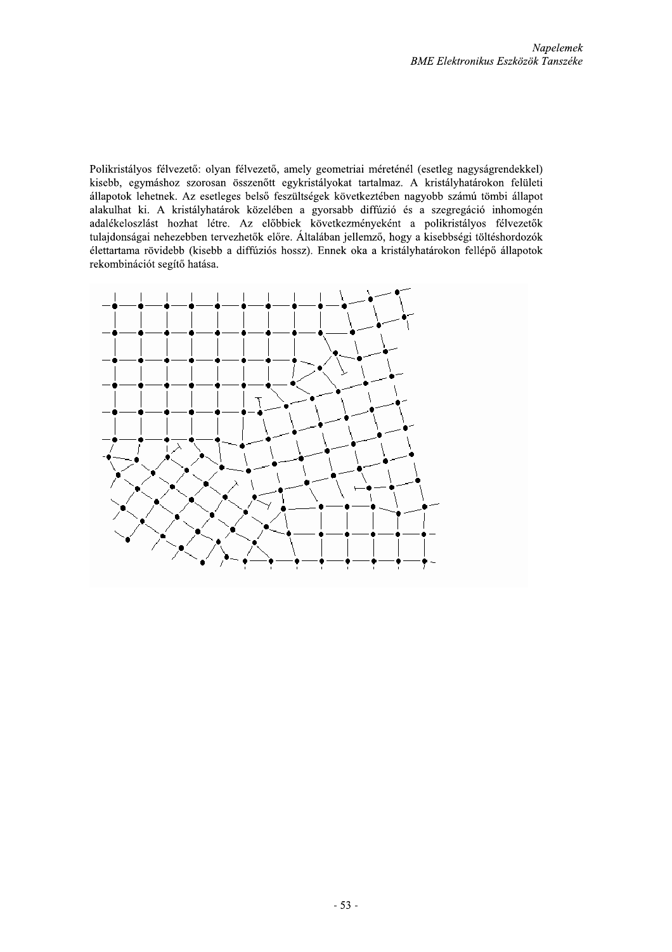Polikristályos félvezető: olyan félvezető, amely geometriai méreténél (esetleg nagyságrendekkel) kisebb, egymáshoz szorosan összenőtt egykristályokat tartalmaz. A kristályhatárokon felületi állapotok lehetnek. Az esetleges belső feszültségek következtében nagyobb számú tömbi állapot alakulhat ki. A kristályhatárok közelében a gyorsabb diffúzió és a szegregáció inhomogén adalékeloszlást hozhat létre. Az előbbiek következményeként a polikristályos félvezetők tulajdonságai nehezebben tervezhetők előre. Általában jellemző, hogy a kisebbségi töltéshordozók élettartama rövidebb (kisebb a diffúziós hossz). Ennek oka a kristályhatárokon fellépő állapotok rekombinációt segítő hatása.